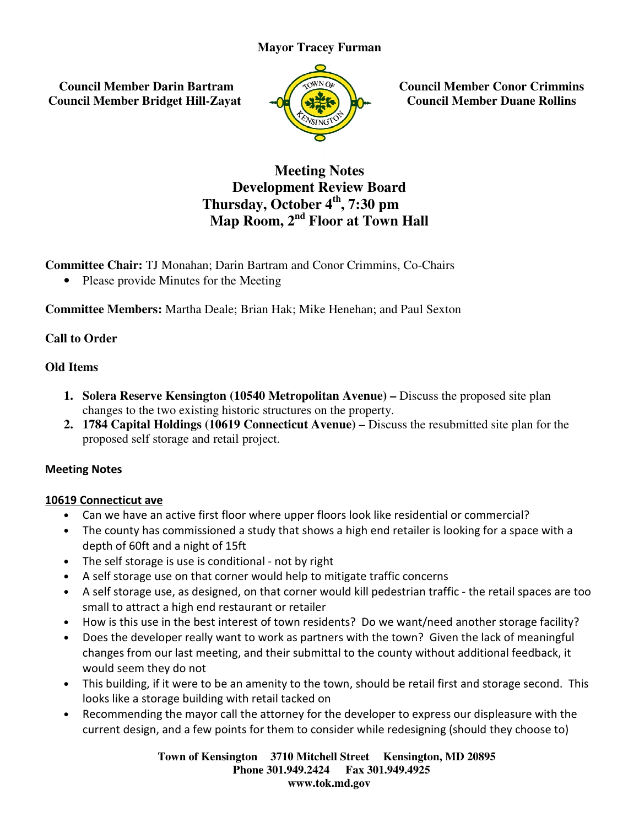# **Mayor Tracey Furman**

 **Council Member Darin Bartram Council Member Bridget Hill-Zayat**



**Zayatz Council Member Conor Crimmins Council Member Duane Rollins**

# **Development Review Board Thursday Thursday, October 4th, 7:30 pm Map Room, 2 Room, 2nd Floor at Town Hall Meeting Notes Council Member**<br> **Council Member**<br> **Council Member**<br> **Council Member**<br> **Council Member**<br> **Council Member**<br> **Council Member**<br> **Council Member**<br> **Council Member**<br> **Council Member**<br> **Council Member**<br> **Council Member**<br> **Counc**

**Committee Chair:** TJ Monahan; Darin Bartram and Conor Crimmins, Co-Chairs

• Please provide Minutes for the Meeting

**•** Please provide Minutes for the Meeting<br>Committee Members: Martha Deale; Brian Hak; Mike Henehan; and Paul Sexton

# **Call to Order**

## **Old Items**

- **1. Solera Reserve Kensington (10540 Metropolitan Avenue) Discuss the proposed site plan** changes to the two existing historic structures on the property.
- **2. 1784 Capital Holdings (10619 Connecticut Avenue)** Discuss the resubmitted site plan for the proposed self storage and retail project.

## Meeting Notes

## 10619 Connecticut ave

- Can we have an active first floor where upper floors look like residential or commercial?
- The county has commissioned a study that shows a high end retailer is looking for a space with a depth of 60ft and a night of 15ft we have an active first floor where upper floors look like residen<br>county has commissioned a study that shows a high end retailer<br>- h of 60ft and a night of 15ft<br>self storage is use is conditional - not by right
- The self storage is use is conditional not by right
- A self storage use on that corner would help to mitigate traffic concerns
- A self storage use, as designed, on that corner would kill pedestrian traffic the retail spaces are too small to attract a high end restaurant or retailer<br>• How is this use in the best interest of town residents? Do we w small to attract a high end restaurant or retailer
- How is this use in the best interest of town residents? Do we want/need another storage facili
- Does the developer really want to work as partners with the town? Given the lack of meaningful changes from our last meeting, and their submittal to the county without additional feedback, it would seem they do not • Does the developer really want to work as partners with the town? Given the lack of meaningful changes from our last meeting, and their submittal to the county without additional feedback, it would seem they do not This
- looks like a storage building with retail tacked on looks
- Recommending the mayor call the attorney for the developer to express our displeasure with the current design, and a few points for them to consider while redesigning (should they choose to)

**Town of Kensington Kensington 3710 Mitchell Street Kensington, MD 20895 Phone 301.949.2424 301.949.2424 Fax 301.949.4925 www.tok.md.gov**